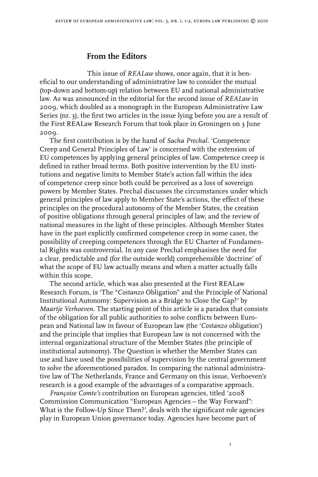## **From the Editors**

This issue of *REALaw* shows, once again, that it is beneficial to our understanding of administrative law to consider the mutual (top-down and bottom-up) relation between EU and national administrative law. As was announced in the editorial for the second issue of *REALaw* in 2009, which doubled as a monograph in the European Administrative Law Series (nr. 3), the first two articles in the issue lying before you are a result of the First REALaw Research Forum that took place in Groningen on 3 June 2009.

The first contribution is by the hand of *Sacha Prechal.* 'Competence Creep and General Principles of Law' is concerned with the extension of EU competences by applying general principles of law. Competence creep is defined in rather broad terms. Both positive intervention by the EU institutions and negative limits to Member State's action fall within the idea of competence creep since both could be perceived as a loss of sovereign powers by Member States. Prechal discusses the circumstances under which general principles of law apply to Member State's actions, the effect of these principles on the procedural autonomy of the Member States, the creation of positive obligations through general principles of law, and the review of national measures in the light of these principles. Although Member States have in the past explicitly confirmed competence creep in some cases, the possibility of creeping competences through the EU Charter of Fundamental Rights was controversial. In any case Prechal emphasises the need for a clear, predictable and (for the outside world) comprehensible 'doctrine' of what the scope of EU law actually means and when a matter actually falls within this scope.

The second article, which was also presented at the First REALaw Research Forum, is 'The "*Costanzo* Obligation" and the Principle of National Institutional Autonomy: Supervision as a Bridge to Close the Gap?' by *Maartje Verhoeven*. The starting point of this article is a paradox that consists of the obligation for all public authorities to solve conflicts between European and National law in favour of European law (the '*Costanzo* obligation') and the principle that implies that European law is not concerned with the internal organizational structure of the Member States (the principle of institutional autonomy). The Question is whether the Member States can use and have used the possibilities of supervision by the central government to solve the aforementioned paradox. In comparing the national administrative law of The Netherlands, France and Germany on this issue, Verhoeven's research is a good example of the advantages of a comparative approach.

*Françoise Comte's* contribution on European agencies, titled '2008 Commission Communication "European Agencies – the Way Forward": What is the Follow-Up Since Then?', deals with the significant role agencies play in European Union governance today. Agencies have become part of

 $\mathbf{I}$